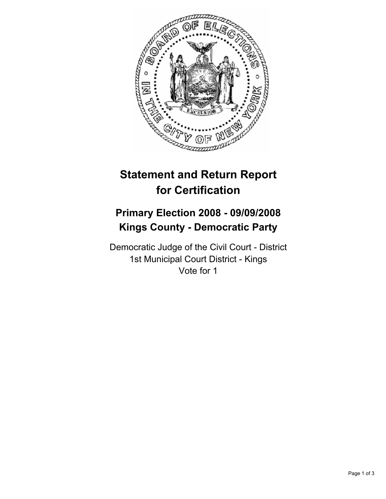

# **Statement and Return Report for Certification**

## **Primary Election 2008 - 09/09/2008 Kings County - Democratic Party**

Democratic Judge of the Civil Court - District 1st Municipal Court District - Kings Vote for 1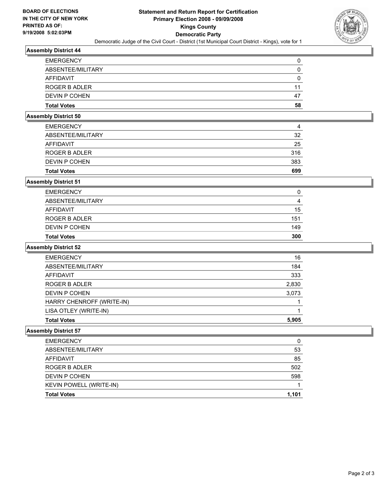

## **Assembly District 44**

| <b>EMERGENCY</b>   |    |
|--------------------|----|
| ABSENTEE/MILITARY  |    |
| AFFIDAVIT          |    |
| ROGER B ADLER      | 11 |
| DEVIN P COHEN      | 47 |
| <b>Total Votes</b> | 58 |

#### **Assembly District 50**

| <b>Total Votes</b> | 699 |
|--------------------|-----|
| DEVIN P COHEN      | 383 |
| ROGER B ADLER      | 316 |
| AFFIDAVIT          | 25  |
| ABSENTEE/MILITARY  | 32  |
| <b>EMERGENCY</b>   | 4   |

## **Assembly District 51**

| <b>EMERGENCY</b>   | 0   |
|--------------------|-----|
| ABSENTEE/MILITARY  | 4   |
| AFFIDAVIT          | 15  |
| ROGER B ADLER      | 151 |
| DEVIN P COHEN      | 149 |
| <b>Total Votes</b> | 300 |

#### **Assembly District 52**

| <b>Total Votes</b>        | 5,905 |
|---------------------------|-------|
| LISA OTLEY (WRITE-IN)     |       |
| HARRY CHENROFF (WRITE-IN) |       |
| DEVIN P COHEN             | 3,073 |
| ROGER B ADLER             | 2,830 |
| AFFIDAVIT                 | 333   |
| ABSENTEE/MILITARY         | 184   |
| <b>EMERGENCY</b>          | 16    |

## **Assembly District 57**

| <b>EMERGENCY</b>        |       |
|-------------------------|-------|
| ABSENTEE/MILITARY       | 53    |
| AFFIDAVIT               | 85    |
| ROGER B ADLER           | 502   |
| DEVIN P COHEN           | 598   |
| KEVIN POWELL (WRITE-IN) |       |
| <b>Total Votes</b>      | 1,101 |